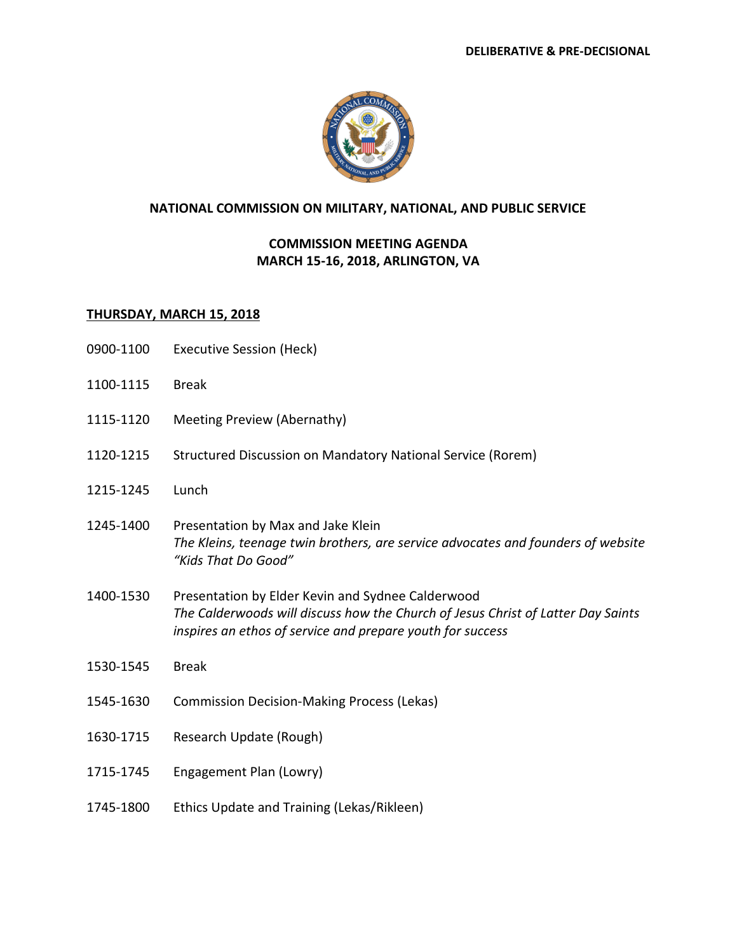

## **NATIONAL COMMISSION ON MILITARY, NATIONAL, AND PUBLIC SERVICE**

## **COMMISSION MEETING AGENDA MARCH 15-16, 2018, ARLINGTON, VA**

## **THURSDAY, MARCH 15, 2018**

- 0900-1100 Executive Session (Heck)
- 1100-1115 Break
- 1115-1120 Meeting Preview (Abernathy)
- 1120-1215 Structured Discussion on Mandatory National Service (Rorem)
- 1215-1245 Lunch
- 1245-1400 Presentation by Max and Jake Klein *The Kleins, teenage twin brothers, are service advocates and founders of website "Kids That Do Good"*
- 1400-1530 Presentation by Elder Kevin and Sydnee Calderwood *The Calderwoods will discuss how the Church of Jesus Christ of Latter Day Saints inspires an ethos of service and prepare youth for success*
- 1530-1545 Break
- 1545-1630 Commission Decision-Making Process (Lekas)
- 1630-1715 Research Update (Rough)
- 1715-1745 Engagement Plan (Lowry)
- 1745-1800 Ethics Update and Training (Lekas/Rikleen)